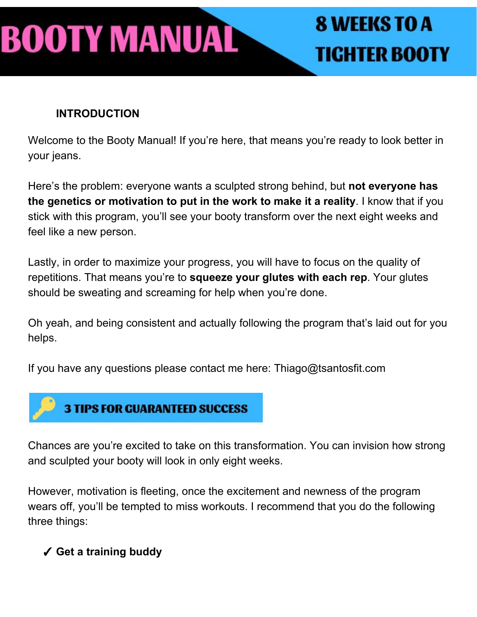# BOOTY MANUAL

# **8 WEEKS TO A TIGHTER BOOTY**

#### **INTRODUCTION**

Welcome to the Booty Manual! If you're here, that means you're ready to look better in your jeans.

Here's the problem: everyone wants a sculpted strong behind, but **not everyone has the genetics or motivation to put in the work to make it a reality**. I know that if you stick with this program, you'll see your booty transform over the next eight weeks and feel like a new person.

Lastly, in order to maximize your progress, you will have to focus on the quality of repetitions. That means you're to **squeeze your glutes with each rep**. Your glutes should be sweating and screaming for help when you're done.

Oh yeah, and being consistent and actually following the program that's laid out for you helps.

If you have any questions please contact me here: Thiago@tsantosfit.com



Chances are you're excited to take on this transformation. You can invision how strong and sculpted your booty will look in only eight weeks.

However, motivation is fleeting, once the excitement and newness of the program wears off, you'll be tempted to miss workouts. I recommend that you do the following three things:

#### ✓ **Get a training buddy**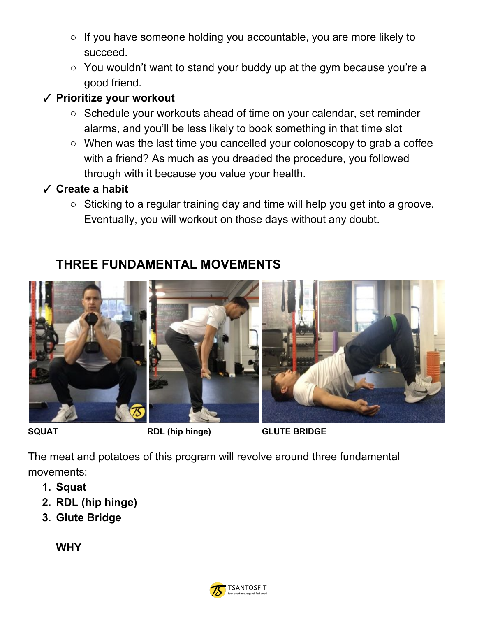- If you have someone holding you accountable, you are more likely to succeed.
- You wouldn't want to stand your buddy up at the gym because you're a good friend.

#### ✓ **Prioritize your workout**

- Schedule your workouts ahead of time on your calendar, set reminder alarms, and you'll be less likely to book something in that time slot
- When was the last time you cancelled your colonoscopy to grab a coffee with a friend? As much as you dreaded the procedure, you followed through with it because you value your health.

#### ✓ **Create a habit**

○ Sticking to a regular training day and time will help you get into a groove. Eventually, you will workout on those days without any doubt.

#### **THREE FUNDAMENTAL MOVEMENTS**



**SQUAT RDL (hip hinge) GLUTE BRIDGE**

The meat and potatoes of this program will revolve around three fundamental movements:

- **1. Squat**
- **2. RDL (hip hinge)**
- **3. Glute Bridge**

**WHY**

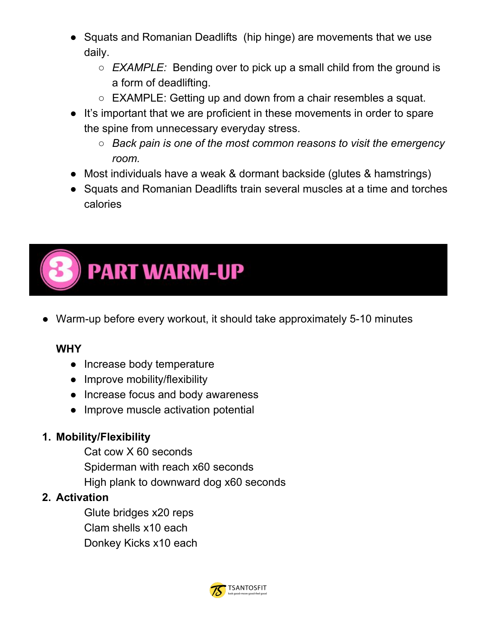- Squats and Romanian Deadlifts (hip hinge) are movements that we use daily.
	- *○ EXAMPLE:* Bending over to pick up a small child from the ground is a form of deadlifting.
	- EXAMPLE: Getting up and down from a chair resembles a squat.
- It's important that we are proficient in these movements in order to spare the spine from unnecessary everyday stress.
	- *○ Back pain is one of the most common reasons to visit the emergency room.*
- Most individuals have a weak & dormant backside (glutes & hamstrings)
- Squats and Romanian Deadlifts train several muscles at a time and torches calories



● Warm-up before every workout, it should take approximately 5-10 minutes

#### **WHY**

- Increase body temperature
- Improve mobility/flexibility
- Increase focus and body awareness
- Improve muscle activation potential

#### **1. Mobility/Flexibility**

Cat cow X 60 seconds Spiderman with reach x60 seconds High plank to downward dog x60 seconds

#### **2. Activation**

Glute bridges x20 reps Clam shells x10 each Donkey Kicks x10 each

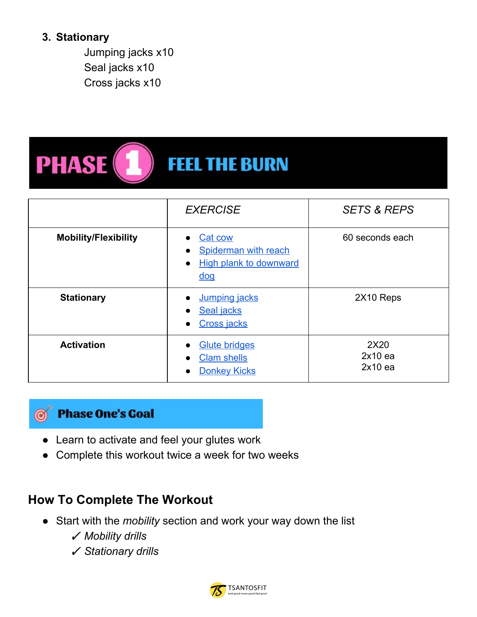#### **3. Stationary**

Jumping jacks x10 Seal jacks x10 Cross jacks x10

### **PHASE FEEL THE BURN**

|                             | <b>EXERCISE</b>                                                                                                          | <b>SETS &amp; REPS</b>         |
|-----------------------------|--------------------------------------------------------------------------------------------------------------------------|--------------------------------|
| <b>Mobility/Flexibility</b> | Cat cow<br>Spiderman with reach<br><b>High plank to downward</b><br>$\bullet$<br>$\overline{\text{d} \text{o} \text{q}}$ | 60 seconds each                |
| <b>Stationary</b>           | <b>Jumping jacks</b><br><b>Seal jacks</b><br><b>Cross jacks</b>                                                          | 2X10 Reps                      |
| <b>Activation</b>           | <b>Glute bridges</b><br><b>Clam shells</b><br><b>Donkey Kicks</b>                                                        | 2X20<br>$2x10$ ea<br>$2x10$ ea |



#### **Phase One's Goal**

- Learn to activate and feel your glutes work
- Complete this workout twice a week for two weeks

#### **How To Complete The Workout**

- Start with the *mobility* section and work your way down the list
	- ✓ *Mobility drills*
	- ✓ *Stationary drills*

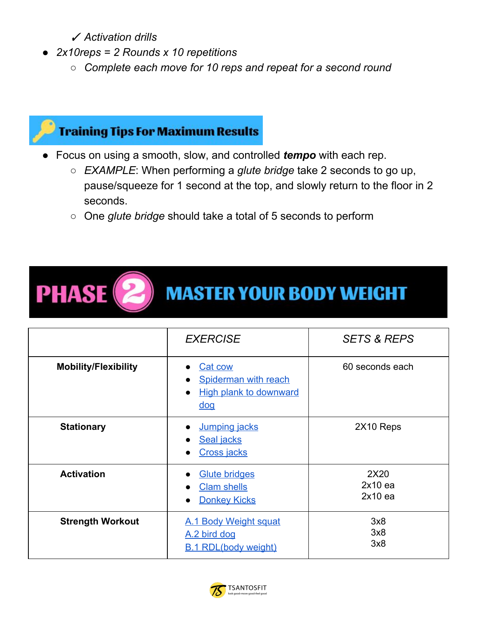✓ *Activation drills*

- *● 2x10reps = 2 Rounds x 10 repetitions*
	- *○ Complete each move for 10 reps and repeat for a second round*

### **Training Tips For Maximum Results**

- Focus on using a smooth, slow, and controlled *tempo* with each rep.
	- *EXAMPLE*: When performing a *glute bridge* take 2 seconds to go up, pause/squeeze for 1 second at the top, and slowly return to the floor in 2 seconds.
	- One *glute bridge* should take a total of 5 seconds to perform



**MASTER YOUR BODY WEIGHT** 

|                             | <b>EXERCISE</b>                                                                                            | <b>SETS &amp; REPS</b>         |
|-----------------------------|------------------------------------------------------------------------------------------------------------|--------------------------------|
| <b>Mobility/Flexibility</b> | Cat cow<br>Spiderman with reach<br><b>High plank to downward</b><br>$\bullet$<br>$\overline{\mathsf{doq}}$ | 60 seconds each                |
| <b>Stationary</b>           | <b>Jumping jacks</b><br>Seal jacks<br><b>Cross jacks</b>                                                   | 2X10 Reps                      |
| <b>Activation</b>           | <b>Glute bridges</b><br><b>Clam shells</b><br><b>Donkey Kicks</b>                                          | 2X20<br>$2x10$ ea<br>$2x10$ ea |
| <b>Strength Workout</b>     | A.1 Body Weight squat<br>A.2 bird dog<br><b>B.1 RDL(body weight)</b>                                       | 3x8<br>3x8<br>3x8              |

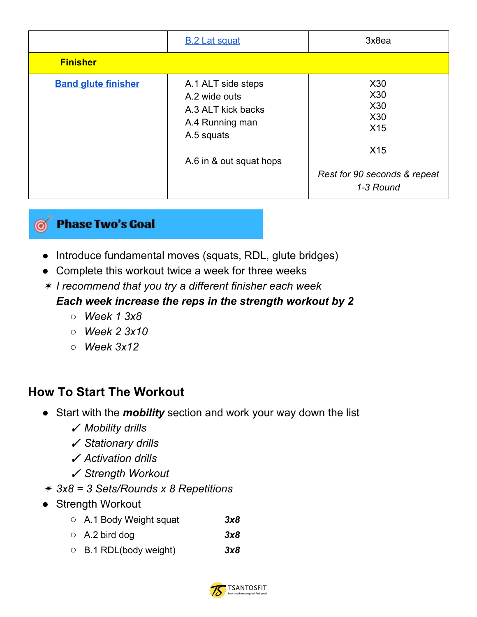|                            | <b>B.2 Lat squat</b>                                                                                                  | 3x8ea                                                                                                                               |
|----------------------------|-----------------------------------------------------------------------------------------------------------------------|-------------------------------------------------------------------------------------------------------------------------------------|
| <b>Finisher</b>            |                                                                                                                       |                                                                                                                                     |
| <b>Band glute finisher</b> | A.1 ALT side steps<br>A.2 wide outs<br>A.3 ALT kick backs<br>A.4 Running man<br>A.5 squats<br>A.6 in & out squat hops | X <sub>30</sub><br>X <sub>30</sub><br>X <sub>30</sub><br>X30<br>X15<br>X <sub>15</sub><br>Rest for 90 seconds & repeat<br>1-3 Round |



- Introduce fundamental moves (squats, RDL, glute bridges)
- Complete this workout twice a week for three weeks
- ✶ *I recommend that you try a different finisher each week*

#### *Each week increase the reps in the strength workout by 2*

- *○ Week 1 3x8*
- *○ Week 2 3x10*
- *○ Week 3x12*

#### **How To Start The Workout**

- Start with the *mobility* section and work your way down the list
	- ✓ *Mobility drills*
	- ✓ *Stationary drills*
	- ✓ *Activation drills*
	- ✓ *Strength Workout*
- ✴ *3x8 = 3 Sets/Rounds x 8 Repetitions*
- Strength Workout
	- *○* A.1 Body Weight squat *3x8*
	- *○* A.2 bird dog *3x8*
	- *○* B.1 RDL(body weight) *3x8*

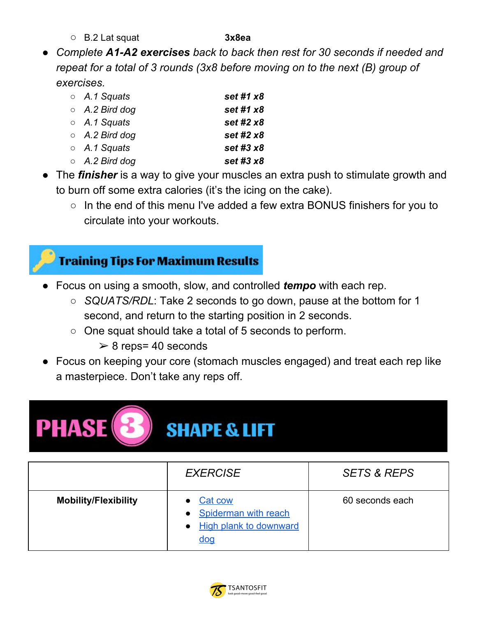*○* B.2 Lat squat **3x8ea**

*● Complete A1-A2 exercises back to back then rest for 30 seconds if needed and repeat for a total of 3 rounds (3x8 before moving on to the next (B) group of exercises.*

| $\circ$ A.1 Squats   | set #1 x8   |
|----------------------|-------------|
| $\circ$ A.2 Bird dog | set #1 x8   |
| $\circ$ A.1 Squats   | set #2 $x8$ |
| $\circ$ A.2 Bird dog | set #2 x8   |
| $\circ$ A.1 Squats   | set #3 x8   |
| $\circ$ A.2 Bird dog | set #3 $x8$ |

• The *finisher* is a way to give your muscles an extra push to stimulate growth and to burn off some extra calories (it's the icing on the cake).

○ In the end of this menu I've added a few extra BONUS finishers for you to circulate into your workouts.



- Focus on using a smooth, slow, and controlled *tempo* with each rep.
	- *SQUATS/RDL*: Take 2 seconds to go down, pause at the bottom for 1 second, and return to the starting position in 2 seconds.
	- One squat should take a total of 5 seconds to perform.
		- $\geq 8$  reps= 40 seconds
- Focus on keeping your core (stomach muscles engaged) and treat each rep like a masterpiece. Don't take any reps off.



## **SHAPE & LIFT**

|                             | <b>EXERCISE</b>                                                                | <b>SETS &amp; REPS</b> |
|-----------------------------|--------------------------------------------------------------------------------|------------------------|
| <b>Mobility/Flexibility</b> | Cat cow<br>Spiderman with reach<br><b>High plank to downward</b><br><u>doq</u> | 60 seconds each        |

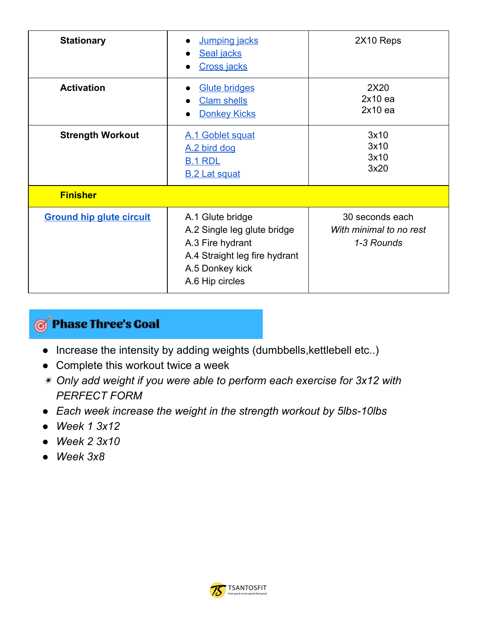| <b>Stationary</b>               | Jumping jacks<br>Seal jacks<br><b>Cross jacks</b>                                                                                          | 2X10 Reps                                                |
|---------------------------------|--------------------------------------------------------------------------------------------------------------------------------------------|----------------------------------------------------------|
| <b>Activation</b>               | <b>Glute bridges</b><br><b>Clam shells</b><br><b>Donkey Kicks</b>                                                                          | 2X20<br>$2x10$ ea<br>$2x10$ ea                           |
| <b>Strength Workout</b>         | A.1 Goblet squat<br>A.2 bird dog<br><b>B.1 RDL</b><br><b>B.2 Lat squat</b>                                                                 | 3x10<br>3x10<br>3x10<br>3x20                             |
| <b>Finisher</b>                 |                                                                                                                                            |                                                          |
| <b>Ground hip glute circuit</b> | A.1 Glute bridge<br>A.2 Single leg glute bridge<br>A.3 Fire hydrant<br>A.4 Straight leg fire hydrant<br>A.5 Donkey kick<br>A.6 Hip circles | 30 seconds each<br>With minimal to no rest<br>1-3 Rounds |

### **S** Phase Three's Coal

- Increase the intensity by adding weights (dumbbells,kettlebell etc..)
- Complete this workout twice a week
- ✴ *Only add weight if you were able to perform each exercise for 3x12 with PERFECT FORM*
- *● Each week increase the weight in the strength workout by 5lbs-10lbs*
- *● Week 1 3x12*
- *● Week 2 3x10*
- *● Week 3x8*

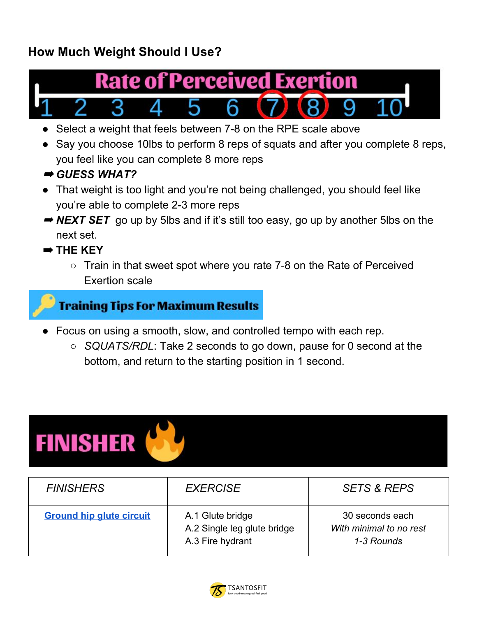### **How Much Weight Should I Use?**



- Select a weight that feels between 7-8 on the RPE scale above
- Say you choose 10lbs to perform 8 reps of squats and after you complete 8 reps, you feel like you can complete 8 more reps
- ➡ *GUESS WHAT?*
- That weight is too light and you're not being challenged, you should feel like you're able to complete 2-3 more reps
- **→ NEXT SET** go up by 5lbs and if it's still too easy, go up by another 5lbs on the next set.
- ➡ **THE KEY**
	- $\circ$  Train in that sweet spot where you rate 7-8 on the Rate of Perceived Exertion scale

#### **Training Tips For Maximum Results**

- Focus on using a smooth, slow, and controlled tempo with each rep.
	- *SQUATS/RDL*: Take 2 seconds to go down, pause for 0 second at the bottom, and return to the starting position in 1 second.



| <b>FINISHERS</b>                | <b>EXERCISE</b>                                                     | <b>SETS &amp; REPS</b>                                   |
|---------------------------------|---------------------------------------------------------------------|----------------------------------------------------------|
| <b>Ground hip glute circuit</b> | A.1 Glute bridge<br>A.2 Single leg glute bridge<br>A.3 Fire hydrant | 30 seconds each<br>With minimal to no rest<br>1-3 Rounds |

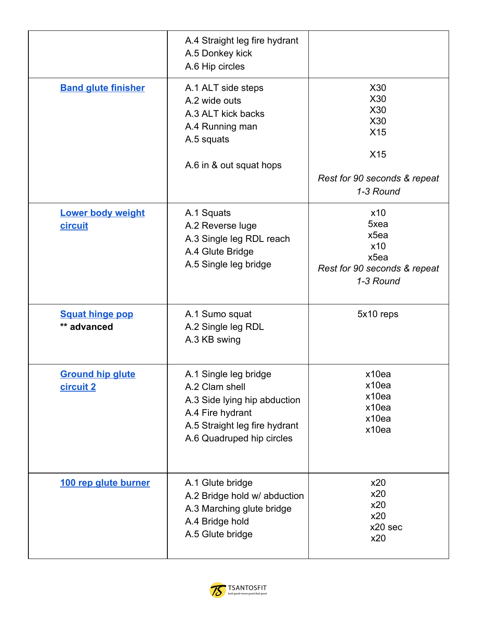|                                       | A.4 Straight leg fire hydrant<br>A.5 Donkey kick<br>A.6 Hip circles                                                                                       |                                                                                     |
|---------------------------------------|-----------------------------------------------------------------------------------------------------------------------------------------------------------|-------------------------------------------------------------------------------------|
| <b>Band glute finisher</b>            | A.1 ALT side steps<br>A.2 wide outs<br>A.3 ALT kick backs<br>A.4 Running man<br>A.5 squats<br>A.6 in & out squat hops                                     | X30<br>X30<br>X30<br>X30<br>X15<br>X15<br>Rest for 90 seconds & repeat<br>1-3 Round |
| <b>Lower body weight</b><br>circuit   | A.1 Squats<br>A.2 Reverse luge<br>A.3 Single leg RDL reach<br>A.4 Glute Bridge<br>A.5 Single leg bridge                                                   | x10<br>5xea<br>x5ea<br>x10<br>x5ea<br>Rest for 90 seconds & repeat<br>1-3 Round     |
| <b>Squat hinge pop</b><br>** advanced | A.1 Sumo squat<br>A.2 Single leg RDL<br>A.3 KB swing                                                                                                      | 5x10 reps                                                                           |
| <b>Ground hip glute</b><br>circuit 2  | A.1 Single leg bridge<br>A.2 Clam shell<br>A.3 Side lying hip abduction<br>A.4 Fire hydrant<br>A.5 Straight leg fire hydrant<br>A.6 Quadruped hip circles | x10ea<br>x10ea<br>x10ea<br>x10ea<br>x10ea<br>x10ea                                  |
| 100 rep glute burner                  | A.1 Glute bridge<br>A.2 Bridge hold w/ abduction<br>A.3 Marching glute bridge<br>A.4 Bridge hold<br>A.5 Glute bridge                                      | x20<br>x20<br>x20<br>x20<br>x20 sec<br>x20                                          |